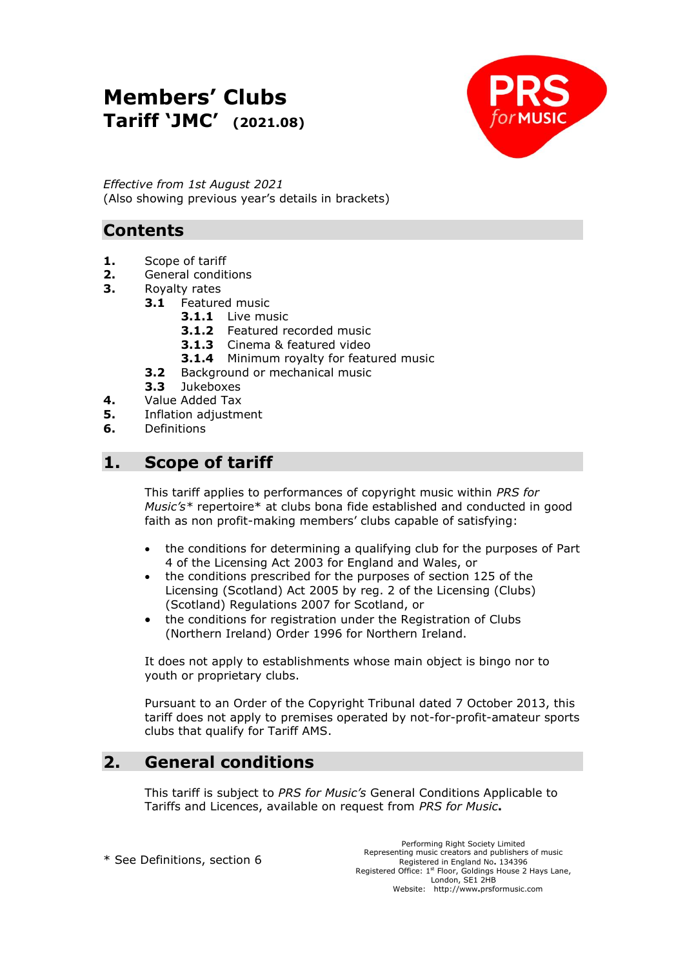# **Members' Clubs Tariff 'JMC' (2021.08)**



*Effective from 1st August 2021* (Also showing previous year's details in brackets)

# **Contents**

- **1.** Scope of tariff
- **2.** General conditions
- **3.** Royalty rates
	- **3.1** Featured music
		- **3.1.1** Live music
		- **3.1.2** Featured recorded music
		- **3.1.3** Cinema & featured video
		- **3.1.4** Minimum royalty for featured music
	- **3.2** Background or mechanical music
	- **3.3** Jukeboxes
- **4.** Value Added Tax
- **5.** Inflation adjustment
- **6.** Definitions

# **1. Scope of tariff**

This tariff applies to performances of copyright music within *PRS for Music's\** repertoire\* at clubs bona fide established and conducted in good faith as non profit-making members' clubs capable of satisfying:

- the conditions for determining a qualifying club for the purposes of Part 4 of the Licensing Act 2003 for England and Wales, or
- the conditions prescribed for the purposes of section 125 of the Licensing (Scotland) Act 2005 by reg. 2 of the Licensing (Clubs) (Scotland) Regulations 2007 for Scotland, or
- the conditions for registration under the Registration of Clubs (Northern Ireland) Order 1996 for Northern Ireland.

It does not apply to establishments whose main object is bingo nor to youth or proprietary clubs.

Pursuant to an Order of the Copyright Tribunal dated 7 October 2013, this tariff does not apply to premises operated by not-for-profit-amateur sports clubs that qualify for Tariff AMS.

# **2. General conditions**

This tariff is subject to *PRS for Music's* General Conditions Applicable to Tariffs and Licences, available on request from *PRS for Music***.**

\* See Definitions, section 6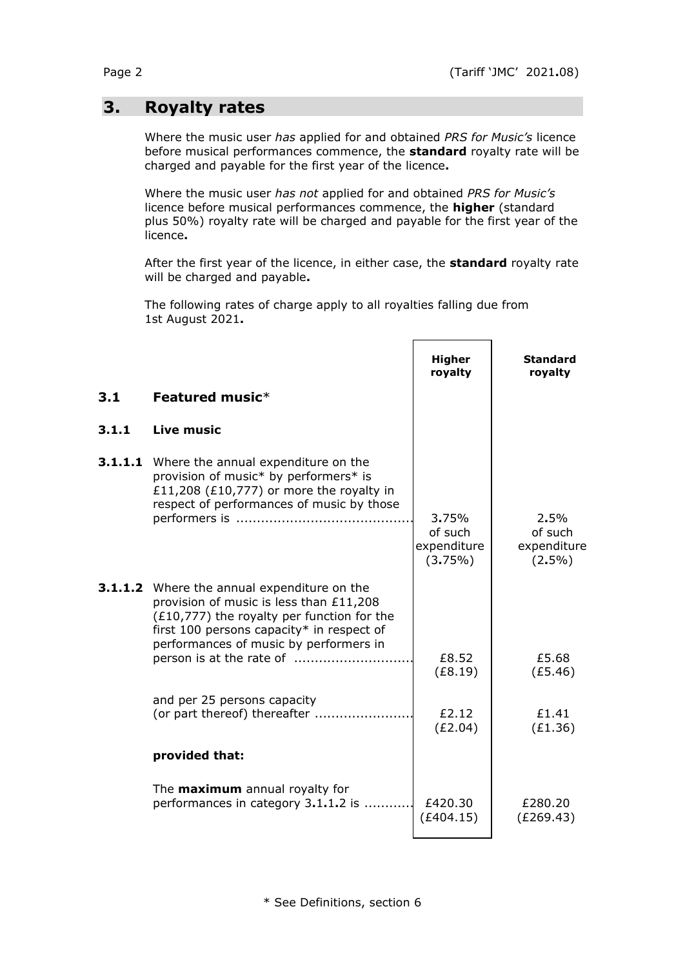# **3. Royalty rates**

Where the music user *has* applied for and obtained *PRS for Music's* licence before musical performances commence, the **standard** royalty rate will be charged and payable for the first year of the licence**.**

Where the music user *has not* applied for and obtained *PRS for Music's*  licence before musical performances commence, the **higher** (standard plus 50%) royalty rate will be charged and payable for the first year of the licence**.**

After the first year of the licence, in either case, the **standard** royalty rate will be charged and payable**.**

The following rates of charge apply to all royalties falling due from 1st August 2021**.**

|         |                                                                                                                                                                                                                                      | <b>Higher</b><br>royalty                   | <b>Standard</b><br>royalty                  |
|---------|--------------------------------------------------------------------------------------------------------------------------------------------------------------------------------------------------------------------------------------|--------------------------------------------|---------------------------------------------|
| 3.1     | Featured music*                                                                                                                                                                                                                      |                                            |                                             |
| 3.1.1   | <b>Live music</b>                                                                                                                                                                                                                    |                                            |                                             |
| 3.1.1.1 | Where the annual expenditure on the<br>provision of music* by performers* is<br>£11,208 (£10,777) or more the royalty in<br>respect of performances of music by those                                                                | 3.75%<br>of such<br>expenditure<br>(3.75%) | 2.5%<br>of such<br>expenditure<br>$(2.5\%)$ |
|         | <b>3.1.1.2</b> Where the annual expenditure on the<br>provision of music is less than £11,208<br>$(£10,777)$ the royalty per function for the<br>first 100 persons capacity* in respect of<br>performances of music by performers in | £8.52<br>(E8.19)                           | £5.68<br>(E5.46)                            |
|         | and per 25 persons capacity<br>(or part thereof) thereafter                                                                                                                                                                          | £2.12<br>(E2.04)                           | £1.41<br>(E1.36)                            |
|         | provided that:                                                                                                                                                                                                                       |                                            |                                             |
|         | The <b>maximum</b> annual royalty for<br>performances in category 3.1.1.2 is                                                                                                                                                         | £420.30<br>(E404.15)                       | £280.20<br>(E269.43)                        |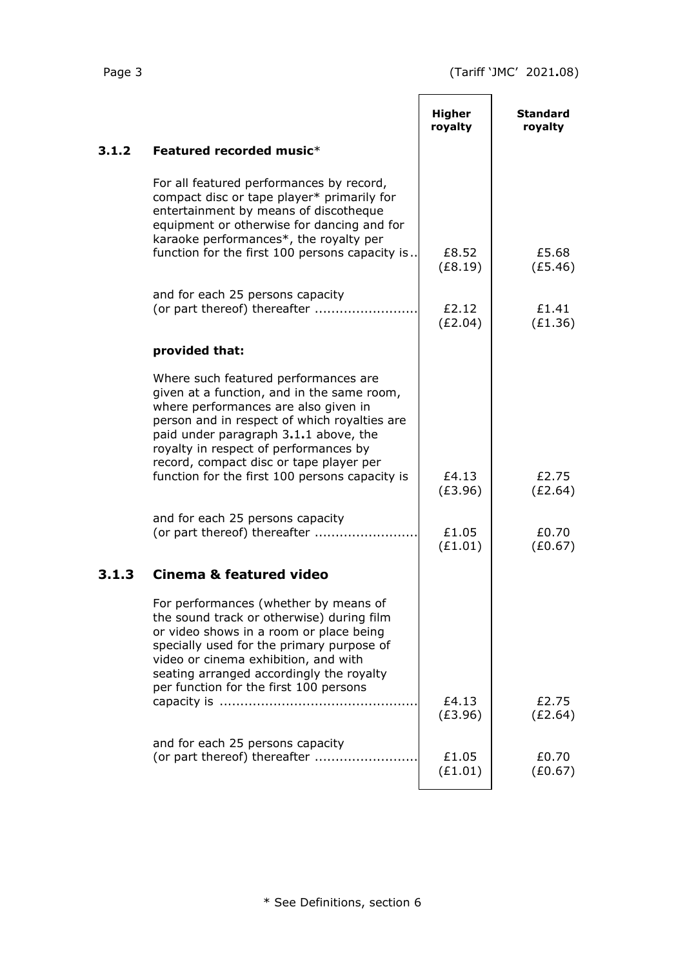$\overline{a}$ 

| <b>Higher</b><br>royalty                       | <b>Standard</b><br>royalty |
|------------------------------------------------|----------------------------|
|                                                |                            |
|                                                | £5.68                      |
| (E8.19)                                        | (E5.46)                    |
| £2.12<br>(E2.04)                               | £1.41<br>(E1.36)           |
|                                                |                            |
|                                                |                            |
| £4.13<br>(E3.96)                               | £2.75<br>(E2.64)           |
| £1.05<br>(E1.01)                               | £0.70<br>(E0.67)           |
|                                                |                            |
|                                                | £2.75                      |
| (E3.96)                                        | (E2.64)                    |
| £1.05<br>(E1.01)                               | £0.70<br>(E0.67)           |
| function for the first 100 persons capacity is | £8.52<br>£4.13             |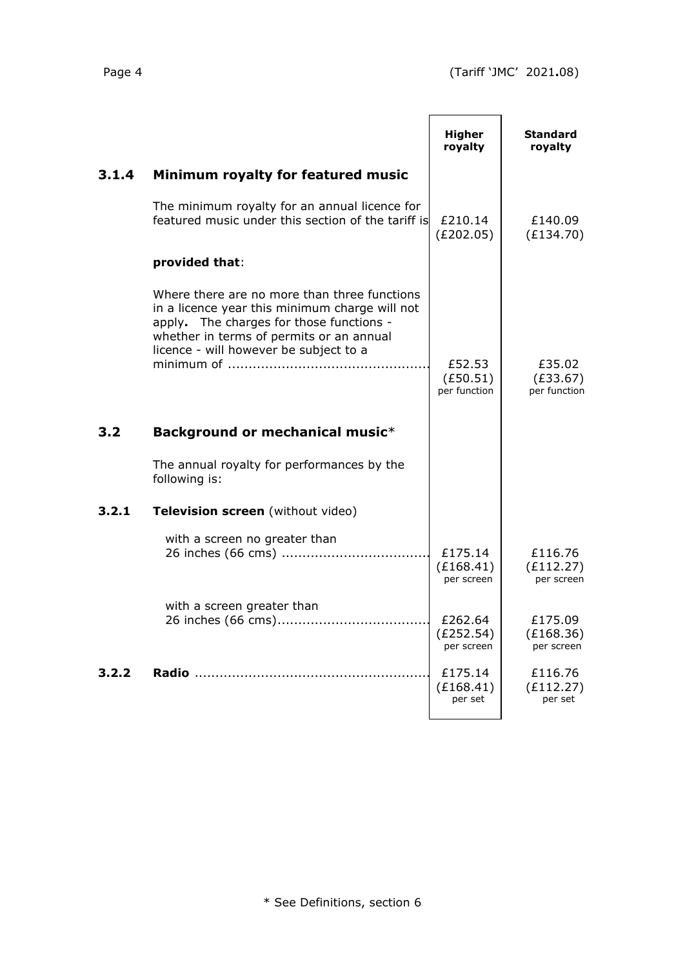|       |                                                                                                                                                                                                                                  | <b>Higher</b><br>royalty           | <b>Standard</b><br>royalty         |
|-------|----------------------------------------------------------------------------------------------------------------------------------------------------------------------------------------------------------------------------------|------------------------------------|------------------------------------|
| 3.1.4 | Minimum royalty for featured music                                                                                                                                                                                               |                                    |                                    |
|       | The minimum royalty for an annual licence for<br>featured music under this section of the tariff is                                                                                                                              | £210.14<br>(E202.05)               | £140.09<br>(E134.70)               |
|       | provided that:                                                                                                                                                                                                                   |                                    |                                    |
|       | Where there are no more than three functions<br>in a licence year this minimum charge will not<br>apply. The charges for those functions -<br>whether in terms of permits or an annual<br>licence - will however be subject to a | £52.53<br>(E50.51)<br>per function | £35.02<br>(E33.67)<br>per function |
| 3.2   | Background or mechanical music*                                                                                                                                                                                                  |                                    |                                    |
|       | The annual royalty for performances by the<br>following is:                                                                                                                                                                      |                                    |                                    |
| 3.2.1 | Television screen (without video)                                                                                                                                                                                                |                                    |                                    |
|       | with a screen no greater than                                                                                                                                                                                                    | £175.14<br>(E168.41)<br>per screen | £116.76<br>(E112.27)<br>per screen |
|       | with a screen greater than                                                                                                                                                                                                       | £262.64<br>(E252.54)<br>per screen | £175.09<br>(E168.36)<br>per screen |
| 3.2.2 |                                                                                                                                                                                                                                  | £175.14<br>(E168.41)<br>per set    | £116.76<br>(E112.27)<br>per set    |
|       |                                                                                                                                                                                                                                  |                                    |                                    |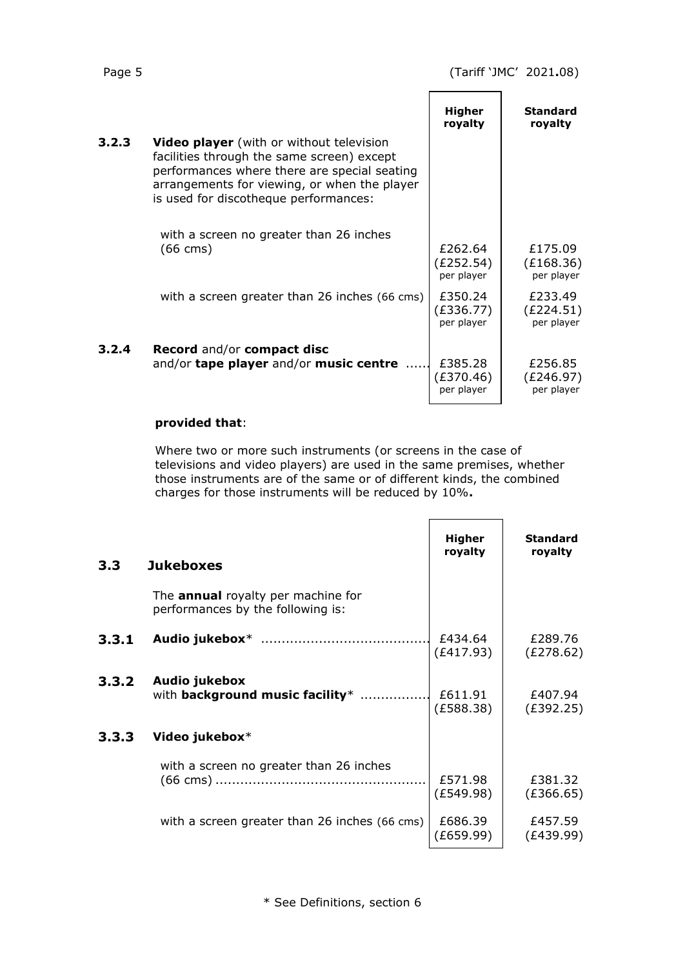|       |                                                                                                                                                                                                                                        | Higher<br>royalty                  | <b>Standard</b><br>royalty         |
|-------|----------------------------------------------------------------------------------------------------------------------------------------------------------------------------------------------------------------------------------------|------------------------------------|------------------------------------|
| 3.2.3 | <b>Video player</b> (with or without television<br>facilities through the same screen) except<br>performances where there are special seating<br>arrangements for viewing, or when the player<br>is used for discotheque performances: |                                    |                                    |
|       | with a screen no greater than 26 inches<br>$(66 \text{ cm})$                                                                                                                                                                           | £262.64<br>(£252.54)<br>per player | £175.09<br>(E168.36)<br>per player |
|       | with a screen greater than 26 inches (66 cms)                                                                                                                                                                                          | £350.24<br>(E336.77)<br>per player | £233.49<br>(£224.51)<br>per player |
| 3.2.4 | <b>Record and/or compact disc</b><br>and/or tape player and/or music centre                                                                                                                                                            | £385.28<br>(£370.46)<br>per player | £256.85<br>(£246.97)<br>per player |

#### **provided that**:

Where two or more such instruments (or screens in the case of televisions and video players) are used in the same premises, whether those instruments are of the same or of different kinds, the combined charges for those instruments will be reduced by 10%**.**

| 3.3   | <b>Jukeboxes</b>                                                               | <b>Higher</b><br>royalty | <b>Standard</b><br>royalty |
|-------|--------------------------------------------------------------------------------|--------------------------|----------------------------|
|       | The <b>annual</b> royalty per machine for<br>performances by the following is: |                          |                            |
| 3.3.1 |                                                                                | £434.64<br>(E417.93)     | £289.76<br>(E278.62)       |
| 3.3.2 | Audio jukebox<br>with background music facility*                               | £611.91<br>(E588.38)     | £407.94<br>(E392.25)       |
| 3.3.3 | Video jukebox*                                                                 |                          |                            |
|       | with a screen no greater than 26 inches                                        | £571.98<br>(E549.98)     | £381.32<br>(E366.65)       |
|       | with a screen greater than 26 inches (66 cms)                                  | £686.39<br>(E659.99)     | £457.59<br>(£439.99)       |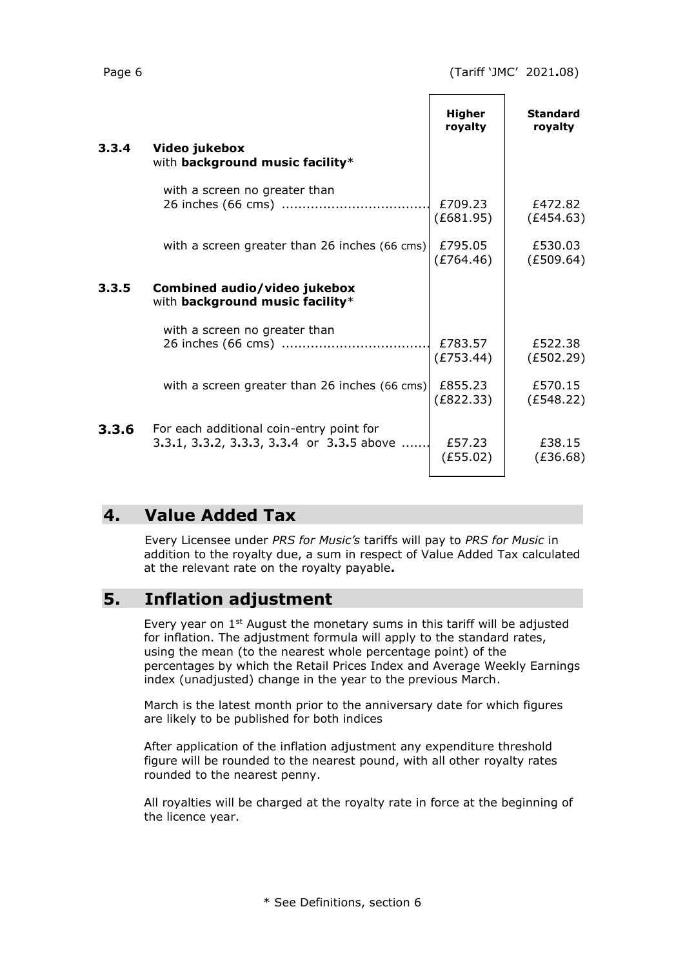$\overline{\phantom{0}}$ 

 $\blacksquare$ 

|       |                                                                                       | <b>Higher</b><br>royalty | <b>Standard</b><br>rovalty |
|-------|---------------------------------------------------------------------------------------|--------------------------|----------------------------|
| 3.3.4 | Video jukebox<br>with background music facility*                                      |                          |                            |
|       | with a screen no greater than                                                         | £709.23<br>(E681.95)     | £472.82<br>(E454.63)       |
|       | with a screen greater than 26 inches (66 cms)                                         | £795.05<br>(E764.46)     | £530.03<br>(E509.64)       |
| 3.3.5 | Combined audio/video jukebox<br>with background music facility*                       |                          |                            |
|       | with a screen no greater than                                                         | £783.57<br>(E753.44)     | £522.38<br>(E502.29)       |
|       | with a screen greater than 26 inches (66 cms)                                         | £855.23<br>(E822.33)     | £570.15<br>(E548.22)       |
| 3.3.6 | For each additional coin-entry point for<br>3.3.1, 3.3.2, 3.3.3, 3.3.4 or 3.3.5 above | £57.23<br>(E55.02)       | £38.15<br>(E36.68)         |

## **4. Value Added Tax**

Every Licensee under *PRS for Music's* tariffs will pay to *PRS for Music* in addition to the royalty due, a sum in respect of Value Added Tax calculated at the relevant rate on the royalty payable**.**

# **5. Inflation adjustment**

Every year on  $1<sup>st</sup>$  August the monetary sums in this tariff will be adjusted for inflation. The adjustment formula will apply to the standard rates, using the mean (to the nearest whole percentage point) of the percentages by which the Retail Prices Index and Average Weekly Earnings index (unadjusted) change in the year to the previous March.

March is the latest month prior to the anniversary date for which figures are likely to be published for both indices

After application of the inflation adjustment any expenditure threshold figure will be rounded to the nearest pound, with all other royalty rates rounded to the nearest penny.

All royalties will be charged at the royalty rate in force at the beginning of the licence year.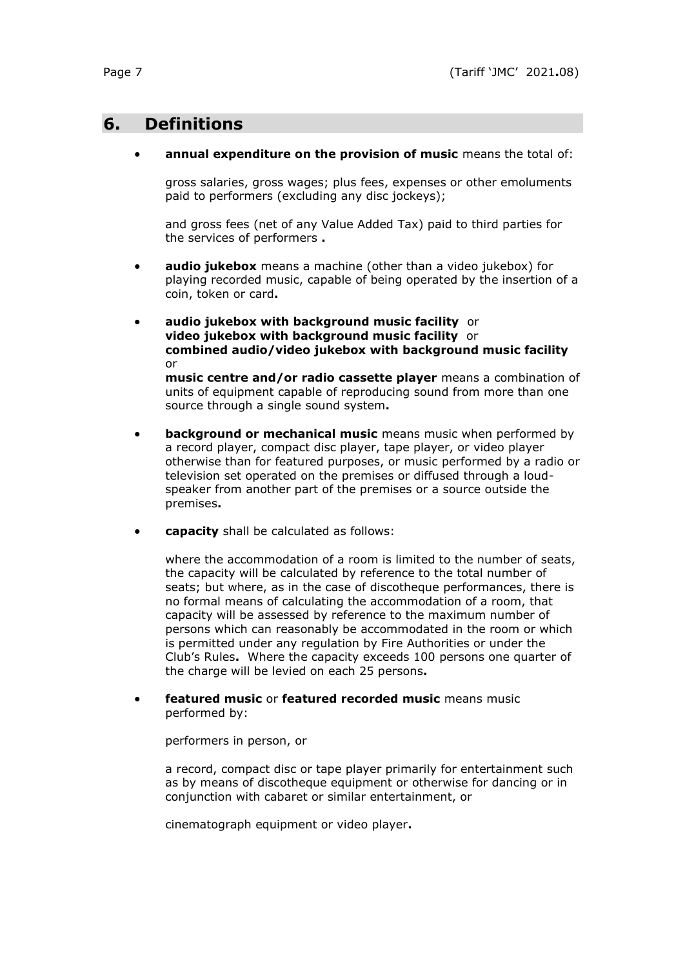## **6. Definitions**

#### • **annual expenditure on the provision of music** means the total of:

gross salaries, gross wages; plus fees, expenses or other emoluments paid to performers (excluding any disc jockeys);

and gross fees (net of any Value Added Tax) paid to third parties for the services of performers **.**

- **audio jukebox** means a machine (other than a video jukebox) for playing recorded music, capable of being operated by the insertion of a coin, token or card**.**
- **audio jukebox with background music facility** or **video jukebox with background music facility** or **combined audio/video jukebox with background music facility** or

**music centre and/or radio cassette player** means a combination of units of equipment capable of reproducing sound from more than one source through a single sound system**.**

- **background or mechanical music** means music when performed by a record player, compact disc player, tape player, or video player otherwise than for featured purposes, or music performed by a radio or television set operated on the premises or diffused through a loudspeaker from another part of the premises or a source outside the premises**.**
- **capacity** shall be calculated as follows:

where the accommodation of a room is limited to the number of seats, the capacity will be calculated by reference to the total number of seats; but where, as in the case of discotheque performances, there is no formal means of calculating the accommodation of a room, that capacity will be assessed by reference to the maximum number of persons which can reasonably be accommodated in the room or which is permitted under any regulation by Fire Authorities or under the Club's Rules**.** Where the capacity exceeds 100 persons one quarter of the charge will be levied on each 25 persons**.**

• **featured music** or **featured recorded music** means music performed by:

performers in person, or

a record, compact disc or tape player primarily for entertainment such as by means of discotheque equipment or otherwise for dancing or in conjunction with cabaret or similar entertainment, or

cinematograph equipment or video player**.**